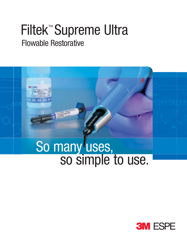## Filtek™ Supreme Ultra Flowable Restorative



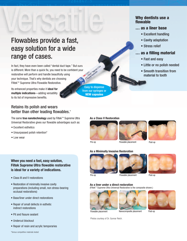# Flowables provide a fast, easy solution for a wide range of cases.<br>
we've rast and easy when the state of cases. **de a fast<br>
r a wide**<br>
ental duct tape." Bu<br>
need to be confide<br>
eautifully using<br>
re choosing<br>
prative.<br> **for**<br> **lility**

In fact, they have even been called "dental duct tape." But ours is different. More than a quick fix, you need to be confident your restorative will perform and handle beautifully using your technique. That's why dentists are choosing Filtek™ Supreme Ultra Flowable Restorative.

Its enhanced properties make it **ideal for multiple indications**—adding versatility to its list of impressive benefits.

## Retains its polish and wears better than other leading flowables.\*

The same **true nanotechnology** used by Filtek™ Supreme Ultra Universal Restorative gives our flowable advantages such as:

- Excellent esthetics
- Unsurpassed polish retention\*
- Low wear

## **When you need a fast, easy solution, Filtek Supreme Ultra flowable restorative is ideal for a variety of indications.**

- Class III and V restorations
- Restoration of minimally invasive cavity preparations (including small, non stress-bearing occlusal restorations)
- Base/liner under direct restorations
- Repair of small defects in esthetic indirect restorations
- Pit and fissure sealant
- Undercut blockout
- Repair of resin and acrylic temporaries

Easy to dispense from our syringes or **NEW capsules**

## **Why dentists use a flowable**

## **… as a liner base**

- Excellent handling
- Cavity adaptation •Cavity a
- Stress relief

## **… as a filling material … as a fill**

- Fast and easy
- Little or no polish needed
- Smooth transition from Smooth material to tooth materia

## **As a Class V Restoration**





Pre-op Flowable placement Post-op

#### **As a Minimally Invasive Restoration**



Pre-op Flowable placement

## **As a liner under a direct restoration**  Post-op

(Filtek™ Supreme Ultra Universal Restorative is the composite shown.)







Photos courtesy of Dr. Gunnar Reich.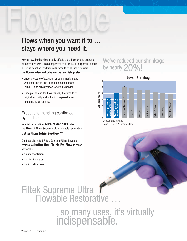## Flows when you want it to … stays where you need it.

How a flowable handles greatly affects the efficiency and outcome of restorative work. It's so important that 3M ESPE purposefully adds a unique handling modifier to its formula to assure it delivers **the flow-on-demand behavior that dentists prefer**.

- Under pressure of extrusion or being manipulated with instruments, the material becomes more liquid … and quickly flows where it's needed.
- Once placed and the flow ceases, it returns to its original viscosity and holds its shape—there's no slumping or running.

## Exceptional handling confirmed by dentists.

In a field evaluation, **60% of dentists** rated the **flow** of Filtek Supreme Ultra flowable restorative

## **better than Tetric EvoFlow.\*\***

Dentists also rated Filtek Supreme Ultra flowable restorative **better than Tetric EvoFlow** in these key areas:

- Cavity adaptation
- Holding its shape
- Lack of stickiness

## We've reduced our shrinkage by nearly  $20\%$ !

#### **Lower Shrinkage** 6 5 /ol. Shrinkage (%) **Vol. Shrinkage (%)** 4 Revolution® Formula 2™ olution<sup>®</sup> Formula 2 3 Filtek™ Supreme Ultra Filtek™ Supreme Plus Flowable Restorative Flowable Restorative Tetric EvoFlow® tric EvoFlow  $\overline{2}$ sthetX® Flow EsthetX® Flow Vertise™ Flow ertise<sup>™</sup> Flow Venus® Flow us<sup>®</sup> Flow PH®3 Flow TPH®3 Flow  $Flow-It<sup>®</sup>$ 1 0

Bonded disc method Source: 3M ESPE internal data

# Filtek Supreme Ultra

## so many uses, it's virtually indispensable.